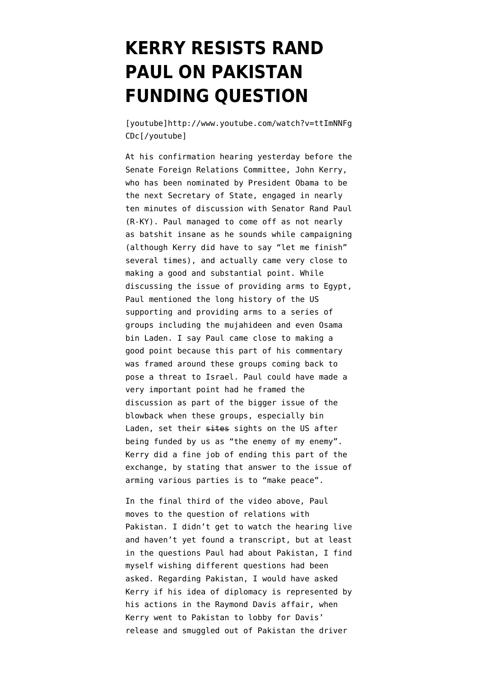## **[KERRY RESISTS RAND](https://www.emptywheel.net/2013/01/25/kerry-resists-rand-paul-on-pakistan-funding-question/) [PAUL ON PAKISTAN](https://www.emptywheel.net/2013/01/25/kerry-resists-rand-paul-on-pakistan-funding-question/) [FUNDING QUESTION](https://www.emptywheel.net/2013/01/25/kerry-resists-rand-paul-on-pakistan-funding-question/)**

[youtube]http://www.youtube.com/watch?v=ttImNNFg CDc[/youtube]

At his confirmation hearing yesterday before the Senate Foreign Relations Committee, John Kerry, who has been nominated by President Obama to be the next Secretary of State, engaged in nearly ten minutes of discussion with Senator Rand Paul (R-KY). Paul managed to come off as not nearly as batshit insane as he sounds while campaigning (although Kerry did have to say "let me finish" several times), and actually came very close to making a good and substantial point. While discussing the issue of providing arms to Egypt, Paul mentioned the long history of the US supporting and providing arms to a series of groups including the mujahideen and even Osama bin Laden. I say Paul came close to making a good point because this part of his commentary was framed around these groups coming back to pose a threat to Israel. Paul could have made a very important point had he framed the discussion as part of the bigger issue of the blowback when these groups, especially bin Laden, set their sites sights on the US after being funded by us as "the enemy of my enemy". Kerry did a fine job of ending this part of the exchange, by stating that answer to the issue of arming various parties is to "make peace".

In the final third of the video above, Paul moves to the question of relations with Pakistan. I didn't get to watch the hearing live and haven't yet found a transcript, but at least in the questions Paul had about Pakistan, I find myself wishing different questions had been asked. Regarding Pakistan, I would have asked Kerry if his idea of diplomacy is represented by his actions in the Raymond Davis affair, when Kerry went to Pakistan to lobby for Davis' release and smuggled out of Pakistan the driver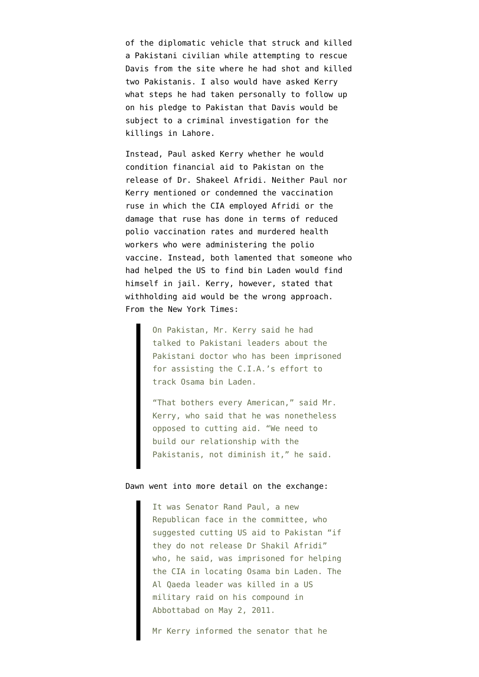of the diplomatic vehicle that struck and killed a Pakistani civilian while attempting to rescue Davis from the site where he had shot and killed two Pakistanis. I also would have asked Kerry what steps he had taken personally to follow up on his pledge to Pakistan that Davis would be subject to a criminal investigation for the killings in Lahore.

Instead, Paul asked Kerry whether he would condition financial aid to Pakistan on the release of Dr. Shakeel Afridi. Neither Paul nor Kerry mentioned or condemned the vaccination ruse in which the CIA employed Afridi or the damage that ruse has done in terms of reduced polio vaccination rates and murdered health workers who were administering the polio vaccine. Instead, both lamented that someone who had helped the US to find bin Laden would find himself in jail. Kerry, however, stated that withholding aid would be the wrong approach. From the [New York Times:](http://www.nytimes.com/2013/01/25/us/politics/kerry-links-economic-and-foreign-policy-at-hearing.html?ref=politics)

> On Pakistan, Mr. Kerry said he had talked to Pakistani leaders about the Pakistani doctor who has been imprisoned for assisting the C.I.A.'s effort to track Osama bin Laden.

"That bothers every American," said Mr. Kerry, who said that he was nonetheless opposed to cutting aid. "We need to build our relationship with the Pakistanis, not diminish it," he said.

## [Dawn](http://dawn.com/2013/01/25/aid-cut-to-pakistan-will-be-unkind-argues-kerry/) went into more detail on the exchange:

It was Senator Rand Paul, a new Republican face in the committee, who suggested cutting US aid to Pakistan "if they do not release Dr Shakil Afridi" who, he said, was imprisoned for helping the CIA in locating Osama bin Laden. The Al Qaeda leader was killed in a US military raid on his compound in Abbottabad on May 2, 2011.

Mr Kerry informed the senator that he